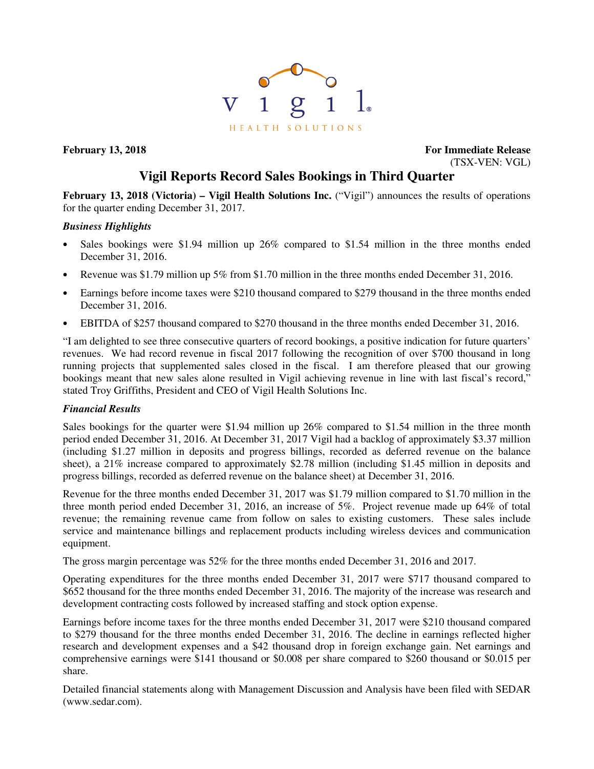

**February 13, 2018 For Immediate Release** (TSX-VEN: VGL)

# **Vigil Reports Record Sales Bookings in Third Quarter**

**February 13, 2018 (Victoria) – Vigil Health Solutions Inc.** ("Vigil") announces the results of operations for the quarter ending December 31, 2017.

# *Business Highlights*

- Sales bookings were \$1.94 million up 26% compared to \$1.54 million in the three months ended December 31, 2016.
- Revenue was \$1.79 million up 5% from \$1.70 million in the three months ended December 31, 2016.
- Earnings before income taxes were \$210 thousand compared to \$279 thousand in the three months ended December 31, 2016.
- EBITDA of \$257 thousand compared to \$270 thousand in the three months ended December 31, 2016.

"I am delighted to see three consecutive quarters of record bookings, a positive indication for future quarters' revenues. We had record revenue in fiscal 2017 following the recognition of over \$700 thousand in long running projects that supplemented sales closed in the fiscal. I am therefore pleased that our growing bookings meant that new sales alone resulted in Vigil achieving revenue in line with last fiscal's record," stated Troy Griffiths, President and CEO of Vigil Health Solutions Inc.

# *Financial Results*

Sales bookings for the quarter were \$1.94 million up 26% compared to \$1.54 million in the three month period ended December 31, 2016. At December 31, 2017 Vigil had a backlog of approximately \$3.37 million (including \$1.27 million in deposits and progress billings, recorded as deferred revenue on the balance sheet), a 21% increase compared to approximately \$2.78 million (including \$1.45 million in deposits and progress billings, recorded as deferred revenue on the balance sheet) at December 31, 2016.

Revenue for the three months ended December 31, 2017 was \$1.79 million compared to \$1.70 million in the three month period ended December 31, 2016, an increase of 5%. Project revenue made up 64% of total revenue; the remaining revenue came from follow on sales to existing customers. These sales include service and maintenance billings and replacement products including wireless devices and communication equipment.

The gross margin percentage was 52% for the three months ended December 31, 2016 and 2017.

Operating expenditures for the three months ended December 31, 2017 were \$717 thousand compared to \$652 thousand for the three months ended December 31, 2016. The majority of the increase was research and development contracting costs followed by increased staffing and stock option expense.

Earnings before income taxes for the three months ended December 31, 2017 were \$210 thousand compared to \$279 thousand for the three months ended December 31, 2016. The decline in earnings reflected higher research and development expenses and a \$42 thousand drop in foreign exchange gain. Net earnings and comprehensive earnings were \$141 thousand or \$0.008 per share compared to \$260 thousand or \$0.015 per share.

Detailed financial statements along with Management Discussion and Analysis have been filed with SEDAR (www.sedar.com).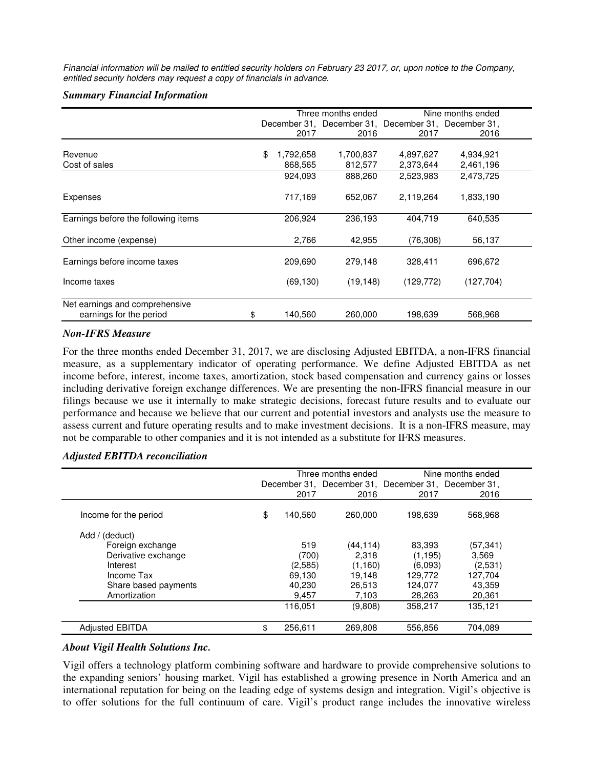Financial information will be mailed to entitled security holders on February 23 2017, or, upon notice to the Company, entitled security holders may request a copy of financials in advance.

#### *Summary Financial Information*

|                                     | Three months ended |           |           | Nine months ended                                   |            |  |
|-------------------------------------|--------------------|-----------|-----------|-----------------------------------------------------|------------|--|
|                                     |                    |           |           | December 31, December 31, December 31, December 31, |            |  |
|                                     |                    | 2017      | 2016      | 2017                                                | 2016       |  |
|                                     |                    |           |           |                                                     |            |  |
| Revenue                             | \$                 | 1,792,658 | 1,700,837 | 4,897,627                                           | 4,934,921  |  |
| Cost of sales                       |                    | 868,565   | 812,577   | 2,373,644                                           | 2,461,196  |  |
|                                     |                    | 924,093   | 888,260   | 2,523,983                                           | 2,473,725  |  |
| Expenses                            |                    | 717,169   | 652,067   | 2,119,264                                           | 1,833,190  |  |
| Earnings before the following items |                    | 206,924   | 236,193   | 404,719                                             | 640,535    |  |
| Other income (expense)              |                    | 2,766     | 42,955    | (76, 308)                                           | 56,137     |  |
| Earnings before income taxes        |                    | 209,690   | 279.148   | 328,411                                             | 696,672    |  |
| Income taxes                        |                    | (69, 130) | (19, 148) | (129, 772)                                          | (127, 704) |  |
| Net earnings and comprehensive      |                    |           |           |                                                     |            |  |
| earnings for the period<br>\$       |                    | 140,560   | 260,000   | 198,639                                             | 568,968    |  |

## *Non-IFRS Measure*

For the three months ended December 31, 2017, we are disclosing Adjusted EBITDA, a non-IFRS financial measure, as a supplementary indicator of operating performance. We define Adjusted EBITDA as net income before, interest, income taxes, amortization, stock based compensation and currency gains or losses including derivative foreign exchange differences. We are presenting the non-IFRS financial measure in our filings because we use it internally to make strategic decisions, forecast future results and to evaluate our performance and because we believe that our current and potential investors and analysts use the measure to assess current and future operating results and to make investment decisions. It is a non-IFRS measure, may not be comparable to other companies and it is not intended as a substitute for IFRS measures.

## *Adjusted EBITDA reconciliation*

|                        |               | Three months ended                                  |          | Nine months ended |
|------------------------|---------------|-----------------------------------------------------|----------|-------------------|
|                        |               | December 31, December 31, December 31, December 31, |          |                   |
|                        | 2017          | 2016                                                | 2017     | 2016              |
| Income for the period  | \$<br>140,560 | 260,000                                             | 198.639  | 568,968           |
| (deduct)<br>Add /      |               |                                                     |          |                   |
| Foreign exchange       | 519           | (44, 114)                                           | 83,393   | (57,341)          |
| Derivative exchange    | (700)         | 2,318                                               | (1, 195) | 3,569             |
| Interest               | (2,585)       | (1,160)                                             | (6.093)  | (2,531)           |
| Income Tax             | 69.130        | 19.148                                              | 129.772  | 127,704           |
| Share based payments   | 40,230        | 26,513                                              | 124,077  | 43,359            |
| Amortization           | 9,457         | 7,103                                               | 28,263   | 20,361            |
|                        | 116,051       | (9,808)                                             | 358,217  | 135,121           |
| <b>Adjusted EBITDA</b> | \$<br>256.611 | 269.808                                             | 556.856  | 704.089           |

## *About Vigil Health Solutions Inc.*

Vigil offers a technology platform combining software and hardware to provide comprehensive solutions to the expanding seniors' housing market. Vigil has established a growing presence in North America and an international reputation for being on the leading edge of systems design and integration. Vigil's objective is to offer solutions for the full continuum of care. Vigil's product range includes the innovative wireless